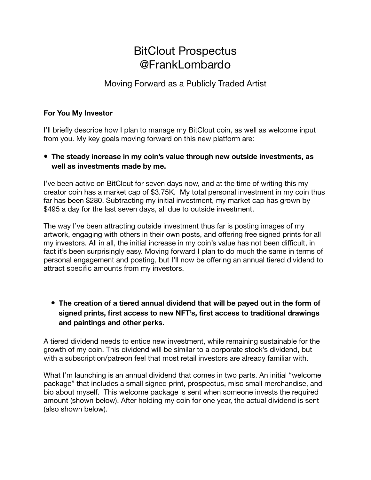# BitClout Prospectus @FrankLombardo

# Moving Forward as a Publicly Traded Artist

#### **For You My Investor**

I'll briefly describe how I plan to manage my BitClout coin, as well as welcome input from you. My key goals moving forward on this new platform are:

# **• The steady increase in my coin's value through new outside investments, as well as investments made by me.**

I've been active on BitClout for seven days now, and at the time of writing this my creator coin has a market cap of \$3.75K. My total personal investment in my coin thus far has been \$280. Subtracting my initial investment, my market cap has grown by \$495 a day for the last seven days, all due to outside investment.

The way I've been attracting outside investment thus far is posting images of my artwork, engaging with others in their own posts, and offering free signed prints for all my investors. All in all, the initial increase in my coin's value has not been difficult, in fact it's been surprisingly easy. Moving forward I plan to do much the same in terms of personal engagement and posting, but I'll now be offering an annual tiered dividend to attract specific amounts from my investors.

**• The creation of a tiered annual dividend that will be payed out in the form of signed prints, first access to new NFT's, first access to traditional drawings and paintings and other perks.** 

A tiered dividend needs to entice new investment, while remaining sustainable for the growth of my coin. This dividend will be similar to a corporate stock's dividend, but with a subscription/patreon feel that most retail investors are already familiar with.

What I'm launching is an annual dividend that comes in two parts. An initial "welcome package" that includes a small signed print, prospectus, misc small merchandise, and bio about myself. This welcome package is sent when someone invests the required amount (shown below). After holding my coin for one year, the actual dividend is sent (also shown below).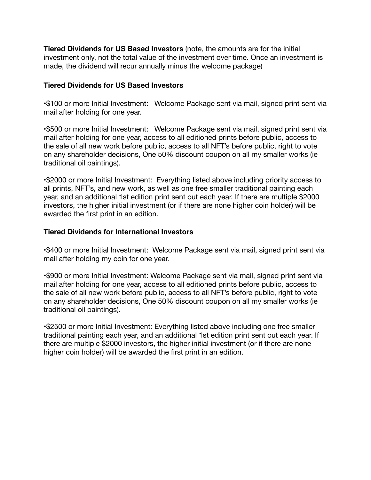**Tiered Dividends for US Based Investors** (note, the amounts are for the initial investment only, not the total value of the investment over time. Once an investment is made, the dividend will recur annually minus the welcome package)

#### **Tiered Dividends for US Based Investors**

•\$100 or more Initial Investment: Welcome Package sent via mail, signed print sent via mail after holding for one year.

•\$500 or more Initial Investment: Welcome Package sent via mail, signed print sent via mail after holding for one year, access to all editioned prints before public, access to the sale of all new work before public, access to all NFT's before public, right to vote on any shareholder decisions, One 50% discount coupon on all my smaller works (ie traditional oil paintings).

•\$2000 or more Initial Investment: Everything listed above including priority access to all prints, NFT's, and new work, as well as one free smaller traditional painting each year, and an additional 1st edition print sent out each year. If there are multiple \$2000 investors, the higher initial investment (or if there are none higher coin holder) will be awarded the first print in an edition.

#### **Tiered Dividends for International Investors**

•\$400 or more Initial Investment: Welcome Package sent via mail, signed print sent via mail after holding my coin for one year.

•\$900 or more Initial Investment: Welcome Package sent via mail, signed print sent via mail after holding for one year, access to all editioned prints before public, access to the sale of all new work before public, access to all NFT's before public, right to vote on any shareholder decisions, One 50% discount coupon on all my smaller works (ie traditional oil paintings).

•\$2500 or more Initial Investment: Everything listed above including one free smaller traditional painting each year, and an additional 1st edition print sent out each year. If there are multiple \$2000 investors, the higher initial investment (or if there are none higher coin holder) will be awarded the first print in an edition.